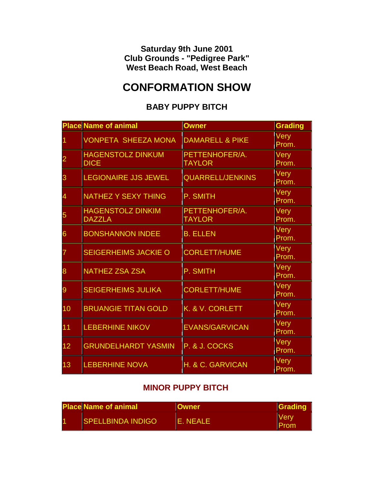**Saturday 9th June 2001 Club Grounds - "Pedigree Park" West Beach Road, West Beach**

# **CONFORMATION SHOW**

### **BABY PUPPY BITCH**

|    | <b>Place Name of animal</b>               | <b>Owner</b>                    | Grading              |
|----|-------------------------------------------|---------------------------------|----------------------|
|    | <b>VONPETA SHEEZA MONA</b>                | <b>DAMARELL &amp; PIKE</b>      | <b>Very</b><br>Prom. |
|    | <b>HAGENSTOLZ DINKUM</b><br><b>DICE</b>   | PETTENHOFER/A.<br><b>TAYLOR</b> | <b>Very</b><br>Prom. |
| З  | <b>EGIONAIRE JJS JEWEL</b>                | <b>QUARRELL/JENKINS</b>         | <b>Very</b><br>Prom. |
| 4  | <b>NATHEZ Y SEXY THING</b>                | P. SMITH                        | <b>Very</b><br>Prom. |
| 5  | <b>HAGENSTOLZ DINKIM</b><br><b>DAZZLA</b> | PETTENHOFER/A.<br><b>TAYLOR</b> | Very<br>Prom.        |
| 6  | <b>BONSHANNON INDEE</b>                   | <b>B. ELLEN</b>                 | <b>Very</b><br>Prom. |
|    | <b>SEIGERHEIMS JACKIE O</b>               | <b>CORLETT/HUME</b>             | <b>Very</b><br>Prom. |
| 8  | <b>NATHEZ ZSA ZSA</b>                     | P. SMITH                        | <b>Very</b><br>Prom. |
| 9  | <b>SEIGERHEIMS JULIKA</b>                 | <b>CORLETT/HUME</b>             | <b>Very</b><br>Prom. |
| 10 | <b>BRUANGIE TITAN GOLD</b>                | K. & V. CORLETT                 | Very<br>Prom.        |
| 11 | <b>LEBERHINE NIKOV</b>                    | <b>EVANS/GARVICAN</b>           | <b>Very</b><br>Prom. |
| 12 | <b>GRUNDELHARDT YASMIN</b>                | P. & J. COCKS                   | <b>Very</b><br>Prom. |
| 13 | <b>LEBERHINE NOVA</b>                     | H. & C. GARVICAN                | <b>Very</b><br>Prom. |

### **MINOR PUPPY BITCH**

| <b>Place Name of animal</b> |                          | Owner   | <b>IGradin</b> |
|-----------------------------|--------------------------|---------|----------------|
|                             | <b>SPELLBINDA INDIGO</b> | F NFALF | ver            |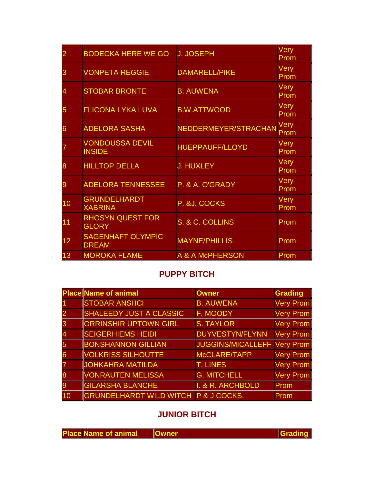| 2  | <b>BODECKA HERE WE GO</b>                | <b>J. JOSEPH</b>       | Very<br>Prom        |
|----|------------------------------------------|------------------------|---------------------|
|    | <b>VONPETA REGGIE</b>                    | <b>DAMARELL/PIKE</b>   | Very<br>Prom        |
| 4  | <b>STOBAR BRONTE</b>                     | <b>B. AUWENA</b>       | Very<br>Prom        |
| 5  | <b>FLICONA LYKA LUVA</b>                 | <b>B.W.ATTWOOD</b>     | Very<br>Prom        |
| 6  | <b>ADELORA SASHA</b>                     | NEDDERMEYER/STRACHAN   | <b>Very</b><br>Prom |
|    | <b>VONDOUSSA DEVIL</b><br><b>INSIDE</b>  | <b>HUEPPAUFF/LLOYD</b> | Very<br>Prom        |
| 8  | <b>HILLTOP DELLA</b>                     | <b>J. HUXLEY</b>       | Very<br>Prom        |
| 9  | <b>ADELORA TENNESSEE</b>                 | P. & A. O'GRADY        | Very<br>Prom        |
| 10 | <b>GRUNDELHARDT</b><br><b>XABRINA</b>    | P. & J. COCKS          | <b>Very</b><br>Prom |
| 11 | <b>RHOSYN QUEST FOR</b><br><b>GLORY</b>  | S. & C. COLLINS        | Prom                |
| 12 | <b>SAGENHAFT OLYMPIC</b><br><b>DREAM</b> | <b>MAYNE/PHILLIS</b>   | Prom                |
| 13 | <b>MOROKA FLAME</b>                      | A & A McPHERSON        | Prom                |

# **PUPPY BITCH**

|    | <b>Place Name of animal</b>                     | <b>Owner</b>                | Grading       |
|----|-------------------------------------------------|-----------------------------|---------------|
|    | <b>STOBAR ANSHCI</b>                            | <b>B. AUWENA</b>            | Very Prom     |
|    | <b>SHALEEDY JUST A CLASSIC</b>                  | <b>F. MOODY</b>             | Very Prom     |
|    | <b>ORRINSHIR UPTOWN GIRL</b>                    | <b>S. TAYLOR</b>            | Very Prom     |
|    | <b>SEIGERHIEMS HEIDI</b>                        | DUYVESTYN/FLYNN             | $ V$ ery Prom |
| 5  | <b>BONSHANNON GILLIAN</b>                       | JUGGINS/MICALLEFF Very Prom |               |
|    | <b>VOLKRISS SILHOUTTE</b>                       | McCLARE/TAPP                | Very Prom     |
|    | <b>JOHKAHRA MATILDA</b>                         | <b>T. LINES</b>             | Very Prom     |
|    | <b>VONRAUTEN MELISSA</b>                        | <b>G. MITCHELL</b>          | Very Prom     |
| 9  | <b>GILARSHA BLANCHE</b>                         | I. & R. ARCHBOLD            | Prom          |
| 10 | <b>GRUNDELHARDT WILD WITCH P &amp; J COCKS.</b> |                             | Prom          |

# **JUNIOR BITCH**

| <b>Place Name of animal   Owner</b> |  | <b>Grading</b> |
|-------------------------------------|--|----------------|
|-------------------------------------|--|----------------|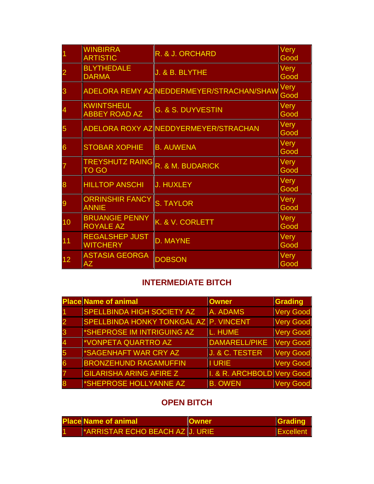|    | <b>WINBIRRA</b><br><b>ARTISTIC</b>        | R. & J. ORCHARD                                | <b>Very</b><br>Good |
|----|-------------------------------------------|------------------------------------------------|---------------------|
|    | <b>BLYTHEDALE</b><br><b>DARMA</b>         | J. & B. BLYTHE                                 | Very<br>Good        |
|    |                                           | ADELORA REMY AZ NEDDERMEYER/STRACHAN/SHAW Very | Good                |
|    | KWINTSHEUL<br><b>ABBEY ROAD AZ</b>        | <b>G. &amp; S. DUYVESTIN</b>                   | Very<br>Good        |
| 5  |                                           | ADELORA ROXY AZ NEDDYERMEYER/STRACHAN          | Very<br>Good        |
| 6  | <b>STOBAR XOPHIE</b>                      | <b>B. AUWENA</b>                               | Very<br>Good        |
|    | <b>TREYSHUTZ RAING</b><br><b>TO GO</b>    | R. & M. BUDARICK                               | Very<br>Good        |
| 8  | <b>HILLTOP ANSCHI</b>                     | <b>J. HUXLEY</b>                               | <b>Very</b><br>Good |
|    | <b>ORRINSHIR FANCY</b><br><b>ANNIE</b>    | <b>S. TAYLOR</b>                               | Very<br>Good        |
| 10 | <b>BRUANGIE PENNY</b><br><b>ROYALE AZ</b> | K. & V. CORLETT                                | Very<br>Good        |
| 11 | <b>REGALSHEP JUST</b><br><b>WITCHERY</b>  | <b>D. MAYNE</b>                                | Very<br>Good        |
| 12 | <b>ASTASIA GEORGA</b><br><b>AZ</b>        | <b>DOBSON</b>                                  | <b>Very</b><br>Good |

### **INTERMEDIATE BITCH**

|   | <b>Place Name of animal</b>                   | <b>Owner</b>               | Grading          |
|---|-----------------------------------------------|----------------------------|------------------|
|   | <b>SPELLBINDA HIGH SOCIETY AZ</b>             | A. ADAMS                   | Very Good        |
|   | <b>SPELLBINDA HONKY TONKGAL AZ P. VINCENT</b> |                            | Very Good        |
|   | *SHEPROSE IM INTRIGUING AZ                    | L. HUME                    | Very Good        |
|   | *VONPETA QUARTRO AZ                           | DAMARELL/PIKE              | Very Good        |
|   | *SAGENHAFT WAR CRY AZ                         | <b>J. &amp; C. TESTER</b>  | Very Good        |
| 6 | <b>BRONZEHUND RAGAMUFFIN</b>                  | II URIE                    | Very Good        |
|   | <b>GILARISHA ARING AFIRE Z</b>                | I. & R. ARCHBOLD Very Good |                  |
|   | *SHEPROSE HOLLYANNE AZ                        | <b>B. OWEN</b>             | <b>Very Good</b> |

# **OPEN BITCH**

| <b>Place Name of animal</b>            | <b>Owner</b> | <b>S</b> rading |
|----------------------------------------|--------------|-----------------|
| <b>ARRISTAR ECHO BEACH AZ JU. URIE</b> |              | Excellent       |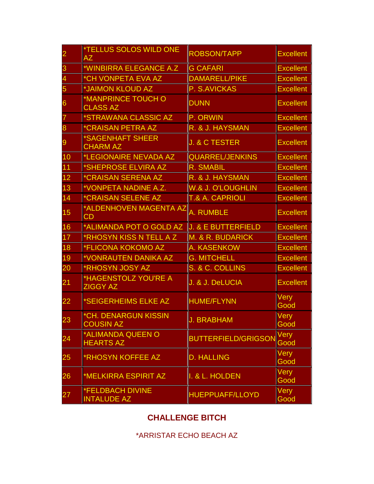# \*ARRISTAR ECHO BEACH AZ

# **CHALLENGE BITCH**

| $\overline{\mathbf{2}}$ | *TELLUS SOLOS WILD ONE<br><b>AZ</b>             | <b>ROBSON/TAPP</b>            | <b>Excellent</b> |
|-------------------------|-------------------------------------------------|-------------------------------|------------------|
| 3                       | <b>*WINBIRRA ELEGANCE A.Z</b>                   | <b>G CAFARI</b>               | <b>Excellent</b> |
| 4                       | *CH VONPETA EVA AZ                              | <b>DAMARELL/PIKE</b>          | <b>Excellent</b> |
| 5                       | <b>*JAIMON KLOUD AZ</b>                         | P. S.AVICKAS                  | <b>Excellent</b> |
| 6                       | <b>*MANPRINCE TOUCH O</b><br><b>CLASS AZ</b>    | <b>DUNN</b>                   | <b>Excellent</b> |
|                         | ∥*STRAWANA CLASSIC AZ                           | P. ORWIN                      | <b>Excellent</b> |
| 8                       | <b><i>*CRAISAN PETRA AZ</i></b>                 | R. & J. HAYSMAN               | <b>Excellent</b> |
| 9                       | <b>*SAGENHAFT SHEER</b><br><b>CHARM AZ</b>      | <b>J. &amp; C TESTER</b>      | <b>Excellent</b> |
| 10                      | <b>LEGIONAIRE NEVADA AZ</b>                     | <b>QUARREL/JENKINS</b>        | <b>Excellent</b> |
| 11                      | *SHEPROSE ELVIRA AZ                             | <b>R. SMABIL</b>              | <b>Excellent</b> |
| 12                      | *CRAISAN SERENA AZ                              | R. & J. HAYSMAN               | <b>Excellent</b> |
| 13                      | *VONPETA NADINE A.Z.                            | <b>W.&amp; J. O'LOUGHLIN</b>  | <b>Excellent</b> |
| 14                      | <b>*CRAISAN SELENE AZ</b>                       | T.& A. CAPRIOLI               | <b>Excellent</b> |
| 15                      | *ALDENHOVEN MAGENTA AZ<br><b>CD</b>             | <b>A. RUMBLE</b>              | <b>Excellent</b> |
| 16                      | *ALIMANDA POT O GOLD AZ                         | <b>J. &amp; E BUTTERFIELD</b> | <b>Excellent</b> |
| 17                      | <b>*RHOSYN KISS N TELL A Z</b>                  | M. & R. BUDARICK              | <b>Excellent</b> |
| 18                      | <b>*FLICONA KOKOMO AZ</b>                       | A. KASENKOW                   | <b>Excellent</b> |
| 19                      | ∥*VONRAUTEN DANIKA AZ                           | <b>G. MITCHELL</b>            | <b>Excellent</b> |
| 20                      | ∦*RHOSYN JOSY AZ                                | S. & C. COLLINS               | <b>Excellent</b> |
| 21                      | *HAGENSTOLZ YOU'RE A<br><b>ZIGGY AZ</b>         | J. & J. DeLUCIA               | <b>Excellent</b> |
| 22                      | *SEIGERHEIMS ELKE AZ                            | <b>HUME/FLYNN</b>             | Very<br>Good     |
| 23                      | <b>*CH. DENARGUN KISSIN</b><br><b>COUSIN AZ</b> | <b>J. BRABHAM</b>             | Very<br>Good     |
| 24                      | *ALIMANDA QUEEN O<br><b>HEARTS AZ</b>           | <b>BUTTERFIELD/GRIGSON</b>    | Very<br>Good     |
| 25                      | <b>*RHOSYN KOFFEE AZ</b>                        | <b>D. HALLING</b>             | Very<br>Good     |
| 26                      | *MELKIRRA ESPIRIT AZ                            | I. & L. HOLDEN                | Very<br>Good     |
| 27                      | <b>*FELDBACH DIVINE</b><br><b>INTALUDE AZ</b>   | <b>HUEPPUAFF/LLOYD</b>        | Very<br>Good     |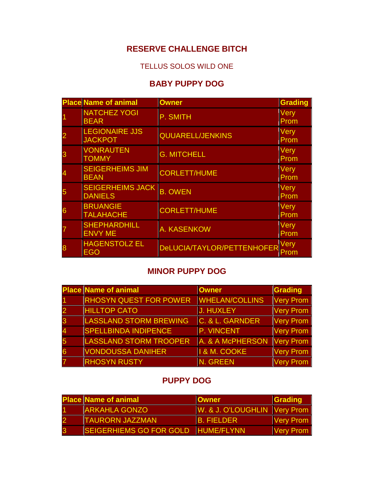# **RESERVE CHALLENGE BITCH**

### TELLUS SOLOS WILD ONE

## **BABY PUPPY DOG**

| <b>Place Name of animal</b>               | <b>Owner</b>                    | <b>Grading</b>      |
|-------------------------------------------|---------------------------------|---------------------|
| <b>NATCHEZ YOGI</b><br><b>BEAR</b>        | P. SMITH                        | <b>Very</b><br>Prom |
| <b>LEGIONAIRE JJS</b><br><b>JACKPOT</b>   | QUUARELL/JENKINS                | Very<br>Prom        |
| <b>VONRAUTEN</b><br><b>TOMMY</b>          | <b>G. MITCHELL</b>              | <b>Very</b><br>Prom |
| <b>SEIGERHEIMS JIM</b><br><b>BEAN</b>     | CORLETT/HUME                    | <b>Very</b><br>Prom |
| <b>SEIGERHEIMS JACK</b><br><b>DANIELS</b> | <b>B. OWEN</b>                  | Very<br>Prom        |
| <b>BRUANGIE</b><br><b>TALAHACHE</b>       | CORLETT/HUME                    | Very<br>Prom        |
| <b>SHEPHARDHILL</b><br><b>ENVY ME</b>     | <b>A. KASENKOW</b>              | Very<br>Prom        |
| <b>HAGENSTOLZ EL</b><br><b>EGO</b>        | DeLUCIA/TAYLOR/PETTENHOFER Prom |                     |

### **MINOR PUPPY DOG**

| <b>Place Name of animal</b>   | <b>Owner</b>            | Grading          |
|-------------------------------|-------------------------|------------------|
| <b>RHOSYN QUEST FOR POWER</b> | <b>WHELAN/COLLINS</b>   | Very Prom        |
| <b>HILLTOP CATO</b>           | J. HUXLEY               | Very Prom        |
| <b>LASSLAND STORM BREWING</b> | C. & L. GARNDER         | <b>Very Prom</b> |
| <b>SPELLBINDA INDIPENCE</b>   | P. VINCENT              | Very Prom        |
| <b>LASSLAND STORM TROOPER</b> | A. & A McPHERSON        | Very Prom        |
| <b>VONDOUSSA DANIHER</b>      | <b>I &amp; M. COOKE</b> | <b>Very Prom</b> |
| <b>RHOSYN RUSTY</b>           | N. GREEN                | Very Prom        |

### **PUPPY DOG**

| <b>Place Name of animal</b>    | <b>Owner</b>                 | Grading                        |
|--------------------------------|------------------------------|--------------------------------|
| <b>ARKAHLA GONZO</b>           | W. & J. O'LOUGHLIN Very Prom |                                |
| <b>TAURORN JAZZMAN</b>         | <b>B. FIELDER</b>            | $\sqrt{\frac{1}{1}}$ Very Prom |
| <b>SEIGERHIEMS GO FOR GOLD</b> | <b>HUME/FLYNN</b>            | $\sqrt{\frac{1}{2}}$ Very Prom |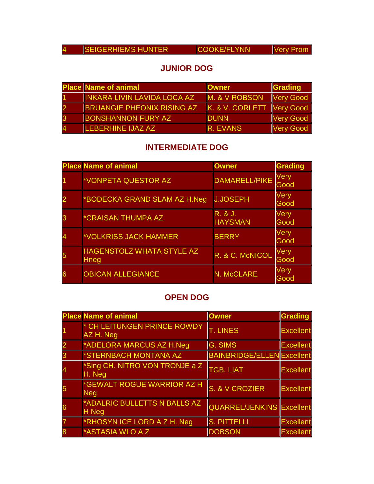| <b>SEIGERHIEMS HUNTER</b> |
|---------------------------|
|---------------------------|

 $\vert$  SEIGERHIGMS  $\vert$  SEIGERHIGMS Very Prom  $\vert$ 

### **JUNIOR DOG**

| <b>Place Name of animal</b>       | <b>Owner</b>              | Grading          |
|-----------------------------------|---------------------------|------------------|
| INKARA LIVIN LAVIDA LOCA AZ       | M. & V ROBSON             | Very Good        |
| <b>BRUANGIE PHEONIX RISING AZ</b> | K. & V. CORLETT Very Good |                  |
| <b>BONSHANNON FURY AZ</b>         | <b>IDUNN</b>              | <b>Very Good</b> |
| <b>ILEBERHINE IJAZ AZ</b>         | <b>IR. EVANS</b>          | <b>Very Good</b> |

# **INTERMEDIATE DOG**

| <b>Place Name of animal</b>                     | <b>Owner</b>              | <b>Grading</b>      |
|-------------------------------------------------|---------------------------|---------------------|
| *VONPETA QUESTOR AZ                             | DAMARELL/PIKE             | Very<br>Good        |
| *BODECKA GRAND SLAM AZ H.Neg                    | <b>J.JOSEPH</b>           | Very<br>Good        |
| *CRAISAN THUMPA AZ                              | R. & J.<br><b>HAYSMAN</b> | <b>Very</b><br>Good |
| *VOLKRISS JACK HAMMER                           | <b>BERRY</b>              | Very<br>Good        |
| <b>HAGENSTOLZ WHATA STYLE AZ</b><br><b>Hneg</b> | R. & C. McNICOL           | Very<br>Good        |
| <b>OBICAN ALLEGIANCE</b>                        | N. McCLARE                | Very<br>Good        |

### **OPEN DOG**

| <b>Place Name of animal</b>              | <b>Owner</b>                      | Grading          |
|------------------------------------------|-----------------------------------|------------------|
| * CH LEITUNGEN PRINCE ROWDY<br>AZ H. Neg | <b>T. LINES</b>                   | <b>Excellent</b> |
| *ADELORA MARCUS AZ H.Neg                 | G. SIMS                           | <b>Excellent</b> |
| <b>*STERNBACH MONTANA AZ</b>             | <b>BAINBRIDGE/ELLEN</b> Excellent |                  |
| *Sing CH. NITRO VON TRONJE a Z<br>H. Neg | <b>TGB. LIAT</b>                  | <b>Excellent</b> |
| *GEWALT ROGUE WARRIOR AZ H<br><b>Neg</b> | S. & V CROZIER                    | Excellent        |
| *ADALRIC BULLETTS N BALLS AZ<br>H Neg    | <b>QUARREL/JENKINS Excellent</b>  |                  |
| *RHOSYN ICE LORD A Z H. Neg              | <b>S. PITTELLI</b>                | <b>Excellent</b> |
| <b>ASTASIA WLO A Z</b>                   | <b>DOBSON</b>                     | <b>Excellent</b> |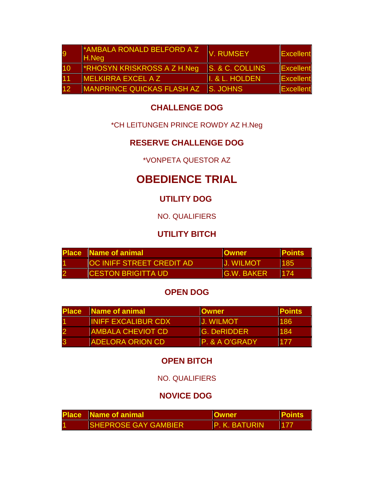|    | <b>AMBALA RONALD BELFORD A Z</b><br>H.Neg | V. RUMSEY       | Excellent |
|----|-------------------------------------------|-----------------|-----------|
| 10 | <b>FRHOSYN KRISKROSS A Z H.Neq</b>        | S. & C. COLLINS | Excellent |
|    | <b>MELKIRRA EXCEL A Z</b>                 | I. & L. HOLDEN  | Excellent |
| 12 | MANPRINCE QUICKAS FLASH AZ                | <b>S. JOHNS</b> | Excellent |

### **CHALLENGE DOG**

### \*CH LEITUNGEN PRINCE ROWDY AZ H.Neg

# **RESERVE CHALLENGE DOG**

\*VONPETA QUESTOR AZ

# **OBEDIENCE TRIAL**

# **UTILITY DOG**

# NO. QUALIFIERS

# **UTILITY BITCH**

| <b>Place Name of animal</b>      | <b>I</b> lOwner    | <b>Points</b> |
|----------------------------------|--------------------|---------------|
| <b>OC INIFF STREET CREDIT AD</b> | <b>IJ. WILMOT</b>  | 185           |
| <b>ICESTON BRIGITTA UD.</b>      | <b>IG.W. BAKER</b> | 174           |

### **OPEN DOG**

| <b>Place</b> | Name of animal             | <b>Owner</b>       | <b>Points</b> |
|--------------|----------------------------|--------------------|---------------|
|              | <b>INIFF EXCALIBUR CDX</b> | <b>J. WILMOT</b>   | 186           |
|              | <b>AMBALA CHEVIOT CD</b>   | <b>G. DeRIDDER</b> | 184           |
|              | <b>IADELORA ORION CD</b>   | P. & A O'GRADY     | 177           |

# **OPEN BITCH**

NO. QUALIFIERS

# **NOVICE DOG**

| <b>Place</b> Name of animal  | <b>Owner</b>         | <u> IPoints</u> |
|------------------------------|----------------------|-----------------|
| <b>ISHEPROSE GAY GAMBIER</b> | <b>P. K. BATURIN</b> |                 |